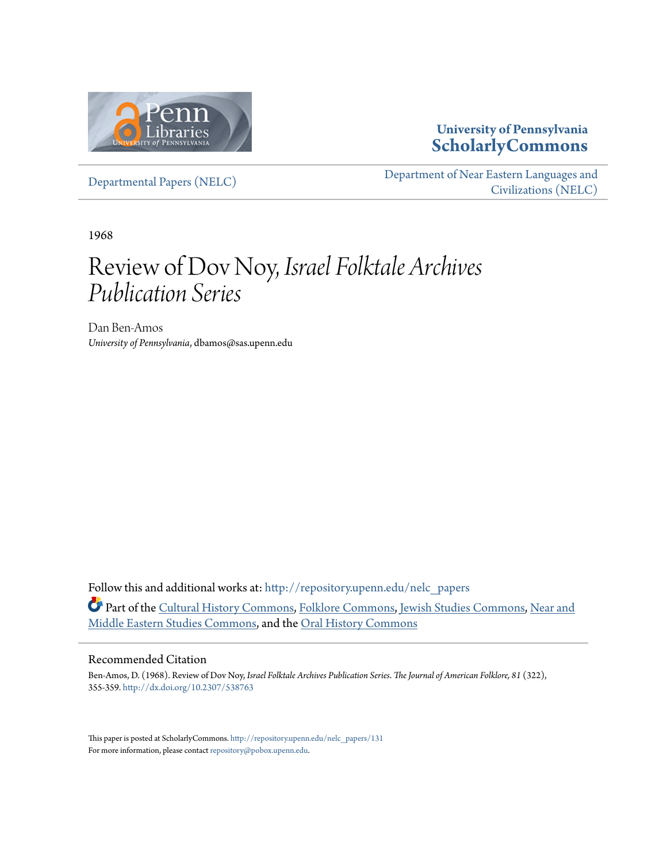

#### **University of Pennsylvania [ScholarlyCommons](http://repository.upenn.edu?utm_source=repository.upenn.edu%2Fnelc_papers%2F131&utm_medium=PDF&utm_campaign=PDFCoverPages)**

[Departmental Papers \(NELC\)](http://repository.upenn.edu/nelc_papers?utm_source=repository.upenn.edu%2Fnelc_papers%2F131&utm_medium=PDF&utm_campaign=PDFCoverPages)

[Department of Near Eastern Languages and](http://repository.upenn.edu/nelc?utm_source=repository.upenn.edu%2Fnelc_papers%2F131&utm_medium=PDF&utm_campaign=PDFCoverPages) [Civilizations \(NELC\)](http://repository.upenn.edu/nelc?utm_source=repository.upenn.edu%2Fnelc_papers%2F131&utm_medium=PDF&utm_campaign=PDFCoverPages)

1968

### Review of Dov Noy, *Israel Folktale Archives Publication Series*

Dan Ben-Amos *University of Pennsylvania*, dbamos@sas.upenn.edu

Follow this and additional works at: [http://repository.upenn.edu/nelc\\_papers](http://repository.upenn.edu/nelc_papers?utm_source=repository.upenn.edu%2Fnelc_papers%2F131&utm_medium=PDF&utm_campaign=PDFCoverPages) Part of the [Cultural History Commons,](http://network.bepress.com/hgg/discipline/496?utm_source=repository.upenn.edu%2Fnelc_papers%2F131&utm_medium=PDF&utm_campaign=PDFCoverPages) [Folklore Commons](http://network.bepress.com/hgg/discipline/321?utm_source=repository.upenn.edu%2Fnelc_papers%2F131&utm_medium=PDF&utm_campaign=PDFCoverPages), [Jewish Studies Commons](http://network.bepress.com/hgg/discipline/479?utm_source=repository.upenn.edu%2Fnelc_papers%2F131&utm_medium=PDF&utm_campaign=PDFCoverPages), [Near and](http://network.bepress.com/hgg/discipline/1308?utm_source=repository.upenn.edu%2Fnelc_papers%2F131&utm_medium=PDF&utm_campaign=PDFCoverPages) [Middle Eastern Studies Commons,](http://network.bepress.com/hgg/discipline/1308?utm_source=repository.upenn.edu%2Fnelc_papers%2F131&utm_medium=PDF&utm_campaign=PDFCoverPages) and the [Oral History Commons](http://network.bepress.com/hgg/discipline/1195?utm_source=repository.upenn.edu%2Fnelc_papers%2F131&utm_medium=PDF&utm_campaign=PDFCoverPages)

#### Recommended Citation

Ben-Amos, D. (1968). Review of Dov Noy, *Israel Folktale Archives Publication Series*. *The Journal of American Folklore, 81* (322), 355-359. <http://dx.doi.org/10.2307/538763>

This paper is posted at ScholarlyCommons. [http://repository.upenn.edu/nelc\\_papers/131](http://repository.upenn.edu/nelc_papers/131) For more information, please contact [repository@pobox.upenn.edu.](mailto:repository@pobox.upenn.edu)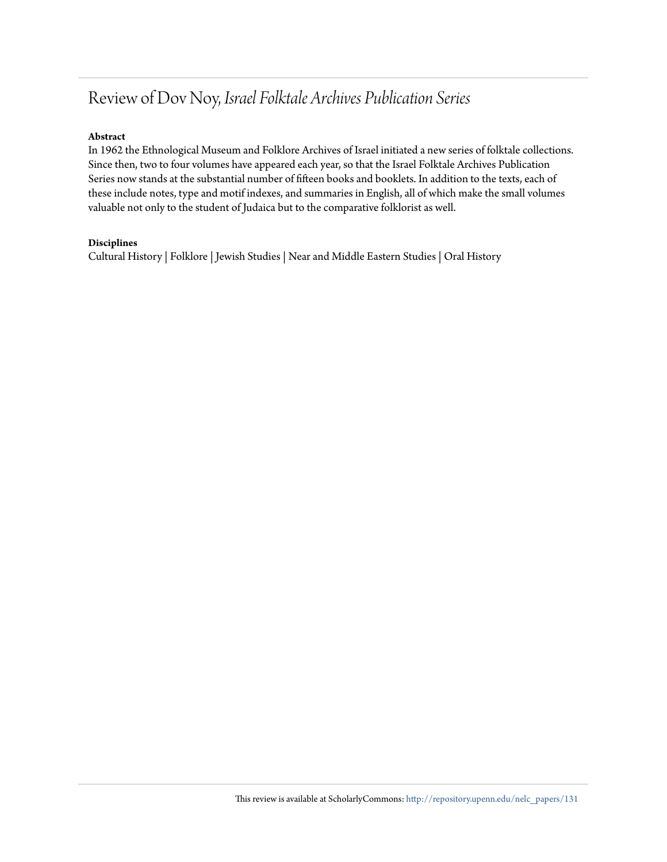### Review of Dov Noy, *Israel Folktale Archives Publication Series*

#### **Abstract**

In 1962 the Ethnological Museum and Folklore Archives of Israel initiated a new series of folktale collections. Since then, two to four volumes have appeared each year, so that the Israel Folktale Archives Publication Series now stands at the substantial number of fifteen books and booklets. In addition to the texts, each of these include notes, type and motif indexes, and summaries in English, all of which make the small volumes valuable not only to the student of Judaica but to the comparative folklorist as well.

#### **Disciplines**

Cultural History | Folklore | Jewish Studies | Near and Middle Eastern Studies | Oral History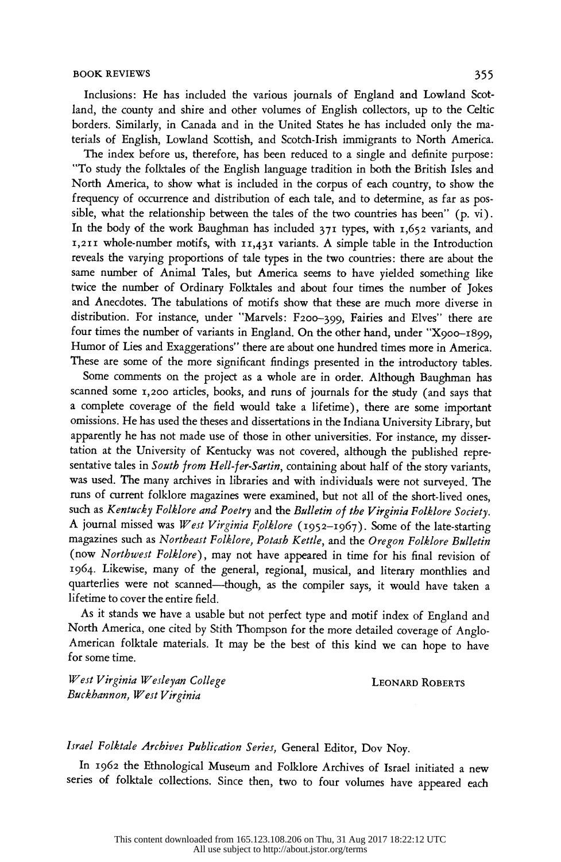INCRUSTANT SOOK REVIEWS<br>Inclusions: He has included the various journals of England and Lowland Scot-<br>In the county and shire and other volumes of English collectors, up to the Celtic Inclusions: He has included the various journals of England and Lowland Scot-<br>land, the county and shire and other volumes of English collectors, up to the Celtic<br>borders. Similarly, in Canada and in the United States he h land, the county and shire and other volumes of English collectors, up to the Celtic<br>borders. Similarly, in Canada and in the United States he has included only the ma-<br>terials of English Lowland Scottish and Scotch-Irish borders. Similarly, in Canada and in the United States he has included only the ma-<br>terials of English, Lowland Scottish, and Scotch-Irish immigrants to North America.<br>The index before us therefore has been reduced to a si

ials of English, Lowland Scottish, and Scotch-Irish immigrants to North America.<br>The index before us, therefore, has been reduced to a single and definite purpose:<br>To study the folktales of the English language tradition i The index before us, therefore, has been reduced to a single and definite purpose:<br>"To study the folktales of the English language tradition in both the British Isles and<br>North America to show what is included in the corpu "To study the folktales of the English language tradition in both the British Isles and<br>North America, to show what is included in the corpus of each country, to show the<br>frequency of occurrence and distribution of each ta North America, to show what is included in the corpus of each country, to show the<br>frequency of occurrence and distribution of each tale, and to determine, as far as pos-<br>sible what the relationship between the tales of th frequency of occurrence and distribution of each tale, and to determine, as far as pos-<br>sible, what the relationship between the tales of the two countries has been" (p. vi).<br>In the body of the work Baughman has included 2 sible, what the relationship between the tales of the two countries has been" (p. vi).<br>In the body of the work Baughman has included 371 types, with 1,652 variants, and<br>I 211 whole-number motifs, with 11,421 variants. A s In the body of the work Baughman has included 371 types, with 1,652 variants, and<br>1,211 whole-number motifs, with 11,431 variants. A simple table in the Introduction<br>reveals the varying proportions of tale types in the tw  $r_1$ ,  $211$  whole-number motifs, with  $11,431$  variants. A simple table in the Introduction reveals the varying proportions of tale types in the two countries: there are about the same number of Animal Tales, but America same number of Animal Tales, but America seems to have yielded something like<br>same number of Animal Tales, but America seems to have yielded something like<br>twice the number of Ordinary Folktales and about four times the nu same number of Animal Tales, but America seems to have yielded something like<br>twice the number of Ordinary Folktales and about four times the number of Jokes<br>and Anecdotes. The tabulations of motifs show that these are muc anno hannoer of financia fues, but finite-tal seems to have yielded solidering inc<br>twice the number of Ordinary Folktales and about four times the number of Jokes<br>and Anecdotes. The tabulations of motifs show that these ar and Anecdotes. The tabulations of motifs show that these are much more diverse in<br>distribution. For instance, under "Marvels: F200-399, Fairies and Elves" there are<br>four times the number of variants in England. On the othe distribution. For instance, under "Marvels: F200–399, Fairies and Elves" there are<br>four times the number of variants in England. On the other hand, under "X900–1899,<br>Humor of Lies and Exaggerations" there are about one bun four times the number of variants in England. On the other hand, under "X900-1899,<br>Humor of Lies and Exaggerations" there are about one hundred times more in America.<br>These are some of the more significant findings present Humor of Lies and Exaggerations" there are about one hundred times more in America.<br>These are some of the more significant findings presented in the introductory tables.<br>Some comments on the project as a whole are in order

ese are some of the more significant findings presented in the introductory tables.<br>Some comments on the project as a whole are in order. Although Baughman has<br>anned some 1.200 articles books and runs of journals for the s Some comments on the project as a whole are in order. Although Baughman has<br>scanned some 1,200 articles, books, and runs of journals for the study (and says that<br>a complete coverage of the field would take a lifetime) ther scanned some 1,200 articles, books, and runs of journals for the study (and says that<br>a complete coverage of the field would take a lifetime), there are some important<br>omissions. He has used the theses and dissertations in a complete coverage of the field would take a lifetime), there are some important<br>omissions. He has used the theses and dissertations in the Indiana University Library, but<br>apprarently he has not made use of those in other omissions. He has used the theses and dissertations in the Indiana University Library, but<br>apparently he has not made use of those in other universities. For instance, my disser-<br>tation at the University of Kentucky was no apparently he has not made use of those in other universities. For instance, my dissertation at the University of Kentucky was not covered, although the published repre-<br>sentative tales in South from Hell-fer-Sartin conta tation at the University of Kentucky was not covered, although the published representative tales in South from Hell-fer-Sartin, containing about half of the story variants, was used. The many archives in libraries and wit sentative tales in *South from Hell-fer-Sartin*, containing about half of the story variants,<br>was used. The many archives in libraries and with individuals were not surveyed. The<br>runs of current folklore magazines were exa was used. The many archives in libraries and with individuals were not surveyed. The<br>runs of current folklore magazines were examined, but not all of the short-lived ones,<br>such as *Kentucky Folklore and Poetry* and the *Bu* runs of current folklore magazines were examined, but not all of the short-lived ones,<br>such as *Kentucky Folklore and Poetry* and the *Bulletin of the Virginia Folklore Society*.<br>A journal missed was *West Virginia Folklor* such as *Kentucky Folklore and Poetry* and the Bulletin of the Virginia Folklore Society.<br>A journal missed was West Virginia Folklore (1952–1967). Some of the late-starting<br>magazines such as Northeast Folklore. Potash Kett A journal missed was *West Virginia Folklore* (1952–1967). Some of the late-starting<br>magazines such as *Northeast Folklore*, *Potash Kettle*, and the Oregon Folklore Bulletin<br>(now Northwest Folklore) may not have appeared magazines such as Northeast Folklore, Potash Kettle, and the Oregon Folklore Bulletin<br>(now Northwest Folklore), may not have appeared in time for his final revision of<br>1964. Likewise, many of the general regional musical a (now *Northwest Folklore*), may not have appeared in time for his final revision of 1964. Likewise, many of the general, regional, musical, and literary monthlies and quarterlies were not scanned—though as the compiler say 1964. Likewise, many of the general, regional, musical, and literary monthlies and quarterlies were not scanned—though, as the compiler says, it would have taken a lifetime to cover the entire field. 1964. Likewise, many of the general, regional, musical, and literary monthlies and quarterlies were not scanned—though, as the compiler says, it would have taken a lifetime to cover the entire field.<br>As it stands we have a

etime to cover the entire field.<br>As it stands we have a usable but not perfect type and motif index of England and<br>orth America, one cited by Stith Thompson for the more detailed coverage of Anglo-As it stands we have a usable but not perfect type and motif index of England and<br>North America, one cited by Stith Thompson for the more detailed coverage of Anglo-<br>American folktale materials. It may be the best of this North America, one cited by Stith Thompson for the more detailed coverage of Anglo-<br>American folktale materials. It may be the best of this kind we can hope to have<br>for some time. North America, one cited by Stith Thompson for the more detailed coverage of Anglo-<br>American folktale materials. It may be the best of this kind we can hope to have<br>for some time.

West Virginia Wesleyan College Contract Contract CEONARD ROBERTS Buckhannon, West Virginia

#### Israel Folktale Archives Publication Series, General Editor, Dov Noy.

 In 1962 the Ethnological Museum and Folklore Archives of Israel initiated a new series of folktale collections. Since then, two to four volumes have appeared each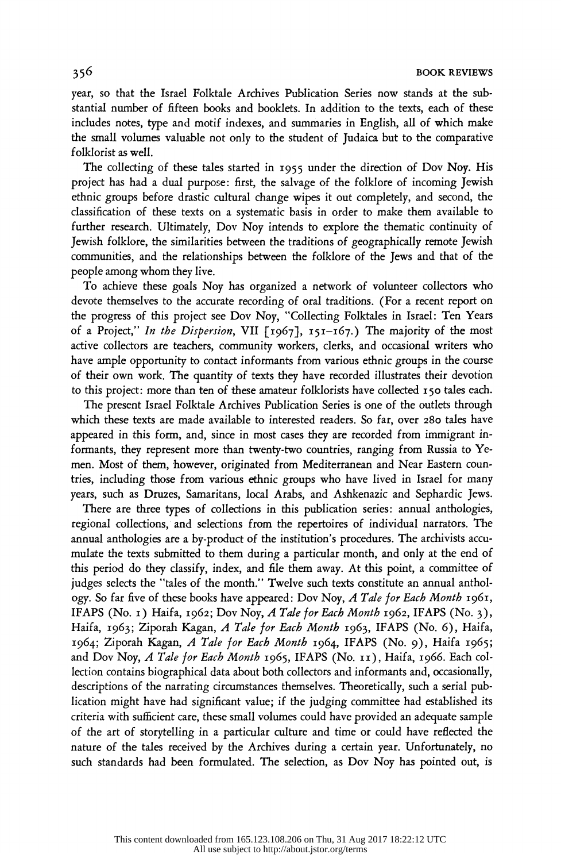year, so that the Israel Folktale Archives Publication Series now stands at the sub-<br>stantial number of fifteen books and booklets. In addition to the toute oach of these year, so that the Israel Folktale Archives Publication Series now stands at the substantial number of fifteen books and booklets. In addition to the texts, each of these includes notes, type and motif indexes, and summaries in English, all of which make includes notes, type and motif indexes, and summaries in English, all of which make<br>the small volumes valuable not only to the student of Judaica but to the comparative<br>folklorist as well the small volumes valuable not only to the student of Ju<br>folklorist as well.

 The collecting of these tales started in i955 under the direction of Dov Noy. His project has had a dual purpose: first, the salvage of the folklore of incoming Jewish ethnic groups before drastic cultural change wipes it out completely, and second, the classification of these texts on a systematic basis in order to make them available to further research. Ultimately, Dov Noy intends to explore the thematic continuity of Jewish folklore, the similarities between the traditions of geographically remote Jewish Jewish folklore, the similarities between the traditions of geographically remote Jewish<br>communities, and the relationships between the folklore of the Jews and that of the<br>people among whom they live communities, and the relationships between the folklore of the Jews and that of the<br>people among whom they live.<br>To sekiave these seeks New has apparited a network of volunteer sellectors who

people among whom they live.<br>To achieve these goals Noy has organized a network of volunteer collectors who<br>devote themselves to the accurate recording of oral traditions. (For a recent report on To achieve these goals Noy has organized a network of volunteer collectors who<br>devote themselves to the accurate recording of oral traditions. (For a recent report on<br>the process of this project ase Doy New "Collecting Fol the progress of this project see Dov Noy, "Collecting Folktales in Israel: Ten Years of a Project," In the Dispersion, VII [1967], 151-167.) The majority of the most active collectors are teachers, community workers, clerks, and occasional writers who have ample opportunity to contact informants from various ethnic groups in the course of their own work. The quantity of texts they have recorded illustrates their devotion to this project: more than ten of these amateur folklorists have collected 150 tales each.<br>The present Israel Folktale Archives Publication Series is one of the outlets through

this project: more than ten of these amateur folklorists have collected 150 tales each.<br>The present Israel Folktale Archives Publication Series is one of the outlets through<br>hich these texts are made available to intereste which these texts are made available to interested readers. So far, over 280 tales have appeared in this form, and, since in most cases they are recorded from immigrant in formants, they represent more than twenty-two countries, ranging from Russia to Ye men. Most of them, however, originated from Mediterranean and Near Eastern coun tries, including those from various ethnic groups who have lived in Israel for many years, such as Druzes, Samaritans, local Arabs, and Ashkenazic and Sephardic Jews.

 There are three types of collections in this publication series: annual anthologies, regional collections, and selections from the repertoires of individual narrators. The annual anthologies are a by-product of the institution's procedures. The archivists accu annual anthologies are a by-product of the institution's procedures. The archivists accu-<br>mulate the texts submitted to them during a particular month, and only at the end of<br>this period do they clossify index and file the this period do they classify, index, and file them away. At this point, a committee of judges selects the "tales of the month." Twelve such texts constitute an annual anthology. So far five of these books have appeared: Dov Noy, A Tale for Each Month 1961, judges selects the "tales of the month." Twelve such texts constitute an annual anthol-<br>ogy. So far five of these books have appeared: Dov Noy, A Tale for Each Month 1961,<br>IEAPS (No. 1) Haifa, 1962: Dov Noy, A Tale for Eac ogy. So far five of these books have appeared: Dov Noy, *A Tale for Each Month* 1961,<br>IFAPS (No. 1) Haifa, 1962; Dov Noy, *A Tale for Each Month* 1962, IFAPS (No. 3),<br>Haifa, 1962: Ziporah Kagan, *A Tale for Each Month* 196 IFAPS (No. 1) Haifa, 1962; Dov Noy, *A Tale for Each Month* 1962, IFAPS (No. 3),<br>Haifa, 1963; Ziporah Kagan, *A Tale for Each Month* 1963, IFAPS (No. 6), Haifa,<br>1961: Ziporah Kagan, *A Tale for Each Month 1964*, IFAPS (No. Haifa, 1963; Ziporah Kagan, *A Tale for Each Month* 1963, IFAPS (No. 6), Haifa,<br>1964; Ziporah Kagan, *A Tale for Each Month* 1964, IFAPS (No. 9), Haifa 1965;<br>2nd Dov Nov. *A Tale for Each Month 1*966, IEAPS (No. 11), Haifa 1964; Ziporah Kagan, A Tale for Each Month 1964, IFAPS (No. 9), Haifa 1965; and Dov Noy, A Tale for Each Month 1965, IFAPS (No. 11), Haifa, 1966. Each col lection contains biographical data about both collectors and informants and, occasionally, descriptions of the narrating circumstances themselves. Theoretically, such a serial pub lication might have had significant value; if the judging committee had established its criteria with sufficient care, these small volumes could have provided an adequate sample of the art of storytelling in a particular culture and time or could have reflected the nature of the tales received by the Archives during a certain year. Unfortunately, no such standards had been formulated. The selection, as Dov Noy has pointed out, is nature of the tales received by the Archives during a certain year. Unfortunately, no<br>such standards had been formulated. The selection, as Dov Noy has pointed out, is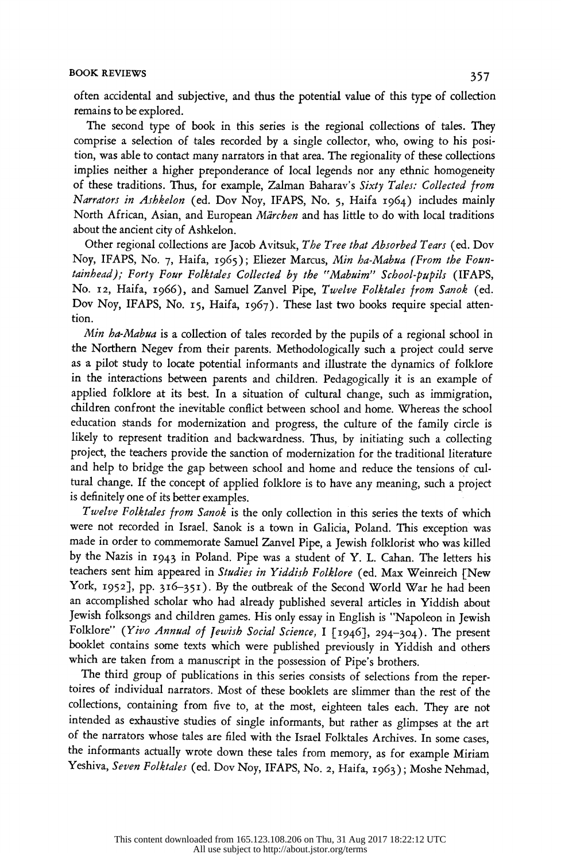# BOOK REVIEWS 357

 often accidental and subjective, and thus the potential value of this type of collection orten accidental and subjective, and thus the potential value of this type of<br>remains to be explored.<br>The second time of book in this series is the regional collections of to

mains to be explored.<br>The second type of book in this series is the regional collections of tales. They<br>marise a selection of tales recorded by a single collector, who owing to his posi-The second type of book in this series is the regional collections of tales. They<br>comprise a selection of tales recorded by a single collector, who, owing to his posi-<br>tion was able to contact many parators in that area. T comprise a selection of tales recorded by a single collector, who, owing to his position, was able to contact many narrators in that area. The regionality of these collections implies neither a higher preponderance of local legends nor any ethnic homogeneity of these traditions. Thus, for example, Zalman Baharav's Sixty Tales: Collected from Narrators in Ashkelon (ed. Dov Noy, IFAPS, No. 5, Haifa 1964) includes mainly Narrators in Ashkelon (ed. Dov Noy, IFAPS, No. 5, Haita 1964) includes mainly<br>North African, Asian, and European Märchen and has little to do with local traditions<br>about the ancient situaf Ashkelon North African, Asian, and European *Märchen* and has little to do with local traditions<br>about the ancient city of Ashkelon.<br>Other regional calledians are Jacob Asituth The Twee that Alexanded Taux (ed. Day.

about the ancient city of Ashkelon.<br>Other regional collections are Jacob Avitsuk, *The Tree that Absorbed Tears* (ed. Dov<br>Noy, IFAPS, No. 7, Haifa, 1965); Eliezer Marcus, *Min ha-Mabua (From the Foun*-Other regional collections are Jacob Avitsuk, T*he Tree that Absorbed Tears* (ed. Dov<br>Noy, IFAPS, No. 7, Haifa, 1965); Eliezer Marcus, *Min ha-Mabua (From the Foun-*<br>tainhard): Forty Form Folktales Collected by the Washnim tainhead); Forty Four Folktales Collected by the "Mabuim" School-pupils (IFAPS, No. 12, Haifa, 1966), and Samuel Zanvel Pipe, Twelve Folktales from Sanok (ed. Dov Noy, IFAPS, No. 15, Haifa, 1967). These last two books require special atten-No. 12, Haifa, 1966), and Samuel Zanvel Pipe, *Twelve Folktales from Sanok* (ed.<br>Dov Noy, IFAPS, No. 15, Haifa, 1967). These last two books require special atten-<br>tion tion.

Min ha-Mabua is a collection of tales recorded by the pupils of a regional school in the Northern Negev from their parents. Methodologically such a project could serve as a pilot study to locate potential informants and illustrate the dynamics of folklore in the interactions between parents and children. Pedagogically it is an example of applied folklore at its best. In a situation of cultural change, such as immigration, children confront the inevitable conflict between school and home. Whereas the school education stands for modernization and progress, the culture of the family circle is likely to represent tradition and backwardness. Thus, by initiating such a collecting project, the teachers provide the sanction of modernization for the traditional literature and help to bridge the gap between school and home and reduce the tensions of cul tural change. If the concept of applied folklore is to have any meaning, such a project is definitely one of its better examples.

 Twelve Folktales from Sanok is the only collection in this series the texts of which were not recorded in Israel. Sanok is a town in Galicia, Poland. This exception was made in order to commemorate Samuel Zanvel Pipe, a Jewish folklorist who was killed by the Nazis in 1943 in Poland. Pipe was a student of Y. L. Cahan. The letters his teachers sent him appeared in Studies in Yiddish Folklore (ed. Max Weinreich [New York, 1952], pp. 316-351). By the outbreak of the Second World War he had been an accomplished scholar who had already published several articles in Yiddish about Jewish folksongs and children games. His only essay in English is "Napoleon in Jewish Folklore" (Yivo Annual of Jewish Social Science, I [1946], 294-304). The present booklet contains some texts which were published previously in Yiddish and others which are taken from a manuscript in the possession of Pipe's brothers.

 The third group of publications in this series consists of selections from the reper toires of individual narrators. Most of these booklets are slimmer than the rest of the collections, containing from five to, at the most, eighteen tales each. They are not intended as exhaustive studies of single informants, but rather as glimpses at the art of the narrators whose tales are filed with the Israel Folktales Archives. In some cases, the informants actually wrote down these tales from memory, as for example Miriam Yeshiva, Seven Folktales (ed. Dov Noy, IFAPS, No. 2, Haifa, 1963); Moshe Nehmad,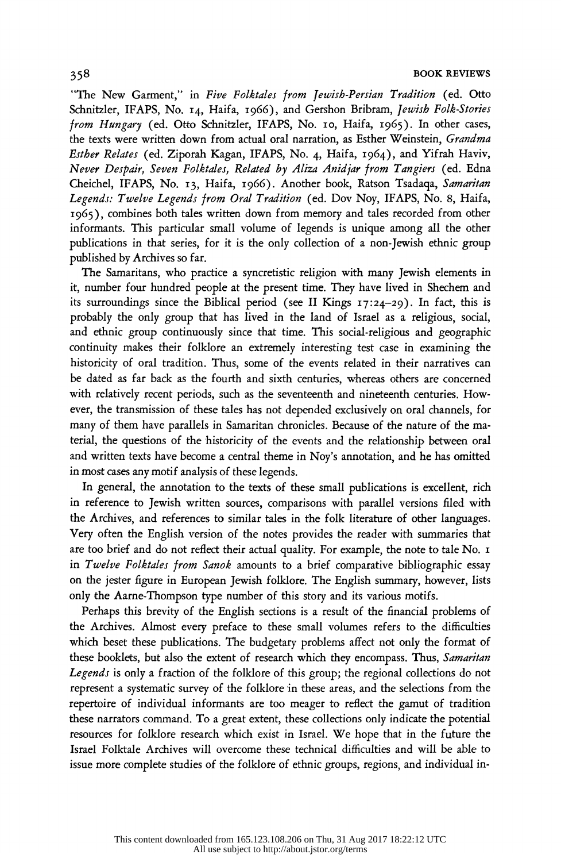BOOK REVIEWS<br>"The New Garment," in *Five Folktales from Jewish-Persian Tradition* (ed. Otto<br>Schnitzler JEAPS No. 14 Haifa 1066) and Gershon Bribram *Jewish Folk-Stories* "The New Garment," in Five Folktales from Jewish-Persian Tradition (ed. Otto<br>Schnitzler, IFAPS, No. 14, Haifa, 1966), and Gershon Bribram, Jewish Folk-Stories<br>from Hungary (ed. Otto Schnitzler, IFAPS, No. 10, Haifa, 1965). Schnitzler, IFAPS, No. 14, Haifa, 1966), and Gershon Bribram, *Jewish Folk-Stories*<br>from Hungary (ed. Otto Schnitzler, IFAPS, No. 10, Haifa, 1965). In other cases,<br>the texts were written down from actual oral partation as from Hungary (ed. Otto Schnitzler, IFAPS, No. 10, Haifa, 1965). In other cases,<br>the texts were written down from actual oral narration, as Esther Weinstein, *Grandma*<br>Esther Belgius (ed. Zingark Koon, JFAPS, No. 1 Julie 19 the texts were written down from actual oral narration, as Esther Weinstein, *Grandma*<br>Est*her Relates* (ed. Ziporah Kagan, IFAPS, No. 4, Haifa, 1964), and Yifrah Haviv,<br>Never Despair, Seven Folktales, Related by Aliza Ani Est*her Relates* (ed. Ziporah Kagan, IFAPS, No. 4, Haifa, 1964), and Yifrah Haviv,<br>*Never Despair, Seven Folktales, Related by Aliza Anidjar from Tangiers* (ed. Edna<br>Cheichel JEAPS No. 12, Haifa, 1966), Another book, Ratso Never Despair, Seven Folktales, Related by Aliza Anidjar from Tangiers (ed. Edna<br>Cheichel, IFAPS, No. 13, Haifa, 1966). Another book, Ratson Tsadaqa, S*amaritan*<br>Legends: Twelve Legends from Oral Tradition (ed. Dov. Nov. I Cheichel, IFAPS, No. 13, Haifa, 1966). Another book, Ratson Tsadaqa, S*amaritan<br>Legends: Twelve Legends from Oral Tradition* (ed. Dov Noy, IFAPS, No. 8, Haifa,<br>1965). combines both tales written down from memory and tales Legends: Twelve Legends from Oral Tradition (ed. Dov Noy, IFAPS, No. 8, Haifa,<br>1965), combines both tales written down from memory and tales recorded from other<br>informants. This particular small volume of legends is unique 1965), combines both tales written down from memory and tales recorded from other<br>informants. This particular small volume of legends is unique among all the other<br>publications in that series for it is the only collection informants. This particular small volume of legends is unique among all the other<br>publications in that series, for it is the only collection of a non-Jewish ethnic group<br>published by Archives so far publications in that series, for it is the only collection of a non-Jewish ethnic group<br>published by Archives so far.<br>The Samaritans, who practice a syncretistic religion with many Jewish elements in

blished by Archives so far.<br>The Samaritans, who practice a syncretistic religion with many Jewish elements in<br>number four hundred people at the present time. They have lived in Shechem and it, number four hundred people at the present time. They have lived in Shechem and its surroundings since the Biblical period (see II Kings  $17:24-29$ ). In fact, this is it, number four hundred people at the present time. They have lived in Shechem and<br>its surroundings since the Biblical period (see II Kings  $17:24-29$ ). In fact, this is<br>probably the only group that has lived in the land its surroundings since the Biblical period (see II Kings 17:24–29). In fact, this is<br>probably the only group that has lived in the land of Israel as a religious, social,<br>and ethnic group continuously since that time. This probably the only group that has lived in the land of Israel as a religious, social,<br>and ethnic group continuously since that time. This social-religious and geographic<br>continuity makes their folklore an extremely interest and ethnic group continuously since that time. This social-religious and geographic continuity makes their folklore an extremely interesting test case in examining the historicity of oral tradition. Thus, some of the event continuity makes their folklore an extremely interesting test case in examining the<br>historicity of oral tradition. Thus, some of the events related in their narratives can<br>be dated as far back as the fourth and sixth conta historicity of oral tradition. Thus, some of the events related in their narratives can<br>be dated as far back as the fourth and sixth centuries, whereas others are concerned<br>with relatively recent periods, such as the excep be dated as far back as the fourth and sixth centuries, whereas others are concerned<br>with relatively recent periods, such as the seventeenth and nineteenth centuries. How-<br>gyer, the transmission of these takes has not depe with relatively recent periods, such as the seventeenth and nineteenth centuries. How-<br>ever, the transmission of these tales has not depended exclusively on oral channels, for<br>many of them have parallels in Samaritan chann ever, the transmission of these tales has not depended exclusively on oral channels, for<br>many of them have parallels in Samaritan chronicles. Because of the nature of the ma-<br>terial the questions of the historicity of the many of them have parallels in Samaritan chronicles. Because of the nature of the material, the questions of the historicity of the events and the relationship between oral<br>and written texts have become a central theme in terial, the questions of the historicity of the events and the relationship between oral<br>and written texts have become a central theme in Noy's annotation, and he has omitted<br>in most cases any motif analysis of these legan in most cases any motif analysis of these legends.<br>In general, the annotation to the texts of these small publications is excellent, rich<br>In general, the annotation to the texts of these small publications is excellent, ri

most cases any motif analysis of these legends.<br>In general, the annotation to the texts of these small publications is excellent, rich<br>reference to Jewish written cources, comparisons with parallel versions filed with in reference to Jewish written sources, comparisons with parallel versions filed with the Archives, and references to similar tales in the folk literature of other languages. in reference to Jewish written sources, comparisons with parallel versions filed with<br>the Archives, and references to similar tales in the folk literature of other languages.<br>Mory often the English version of the notes arg the Archives, and references to similar tales in the folk literature of other languages.<br>Very often the English version of the notes provides the reader with summaries that<br>are too brief and do not reflect their actual qua Very often the English version of the notes provides the reader with summaries that<br>are too brief and do not reflect their actual quality. For example, the note to tale No. I<br>in Tundue Feldtales from Smah amounts to a brie are too brief and do not reflect their actual quality. For example, the note to tale No. 1<br>in Twelve Folktales from Sanok amounts to a brief comparative bibliographic essay<br>on the jetter figure in European Jewish folklore. in Twelve Folktales from Sanok amounts to a brief comparative bibliographic essay<br>on the jester figure in European Jewish folklore. The English summary, however, lists<br>only the Agree Thompson type number of this story and on the jester figure in European Jewish folklore. The English summary, however, lists<br>only the Aarne-Thompson type number of this story and its various motifs.<br>Rephase this brewity of the English sections is a result of th

ly the Aarne-Thompson type number of this story and its various motifs.<br>Perhaps this brevity of the English sections is a result of the financial problems of<br>a Archives Almost every preface to these small volumes refers to Perhaps this brevity of the English sections is a result of the financial problems of<br>the Archives. Almost every preface to these small volumes refers to the difficulties<br>which beset these publications. The budgetagy probl the Archives. Almost every preface to these small volumes refers to the difficulties<br>which beset these publications. The budgetary problems affect not only the format of<br>these booklets, but also the output of research whic which beset these publications. The budgetary problems affect not only the format of<br>these booklets, but also the extent of research which they encompass. Thus, Samaritan<br>Legands is only a fraction of the folklore of this these booklets, but also the extent of research which they encompass. Thus, Samaritan<br>Legends is only a fraction of the folklore of this group; the regional collections do not<br>represent a systematic survey of the folklore *Legends* is only a fraction of the folklore of this group; the regional collections do not<br>represent a systematic survey of the folklore in these areas, and the selections from the<br>repertaire of individual informats are t represent a systematic survey of the folklore in these areas, and the selections from the<br>repertoire of individual informants are too meager to reflect the gamut of tradition<br>these parts command. To a great extent, these c repertoire of individual informants are too meager to reflect the gamut of tradition<br>these narrators command. To a great extent, these collections only indicate the potential<br>recourses for follology recorse which ouist in these narrators command. To a great extent, these collections only indicate the potential<br>resources for folklore research which exist in Israel. We hope that in the future the<br>Israel Folktale, Archives will overcome these Israel Folktale Archives will overcome these technical difficulties and will be able to issue more complete studies of the folklore of ethnic groups, regions, and individual in-